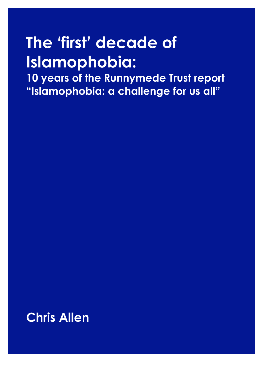# **The 'first' decade of Islamophobia:**

**10 years of the Runnymede Trust report "Islamophobia: a challenge for us all"**

**Chris Allen**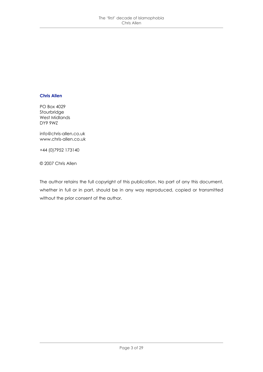#### **Chris Allen**

PO Box 4029 Stourbridge West Midlands DY9 9WZ

info@chris-allen.co.uk www.chris-allen.co.uk

+44 (0)7952 173140

© 2007 Chris Allen

The author retains the full copyright of this publication. No part of any this document, whether in full or in part, should be in any way reproduced, copied or transmitted without the prior consent of the author.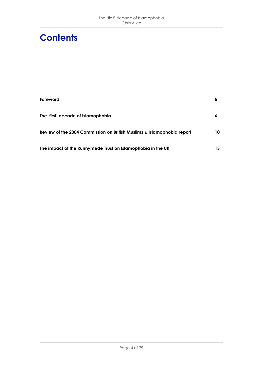### **Contents**

| Foreword                                                               | 5  |
|------------------------------------------------------------------------|----|
| The 'first' decade of Islamophobia                                     | 6  |
| Review of the 2004 Commission on British Muslims & Islamophobia report | 10 |
| The impact of the Runnymede Trust on Islamophobia in the UK            | 13 |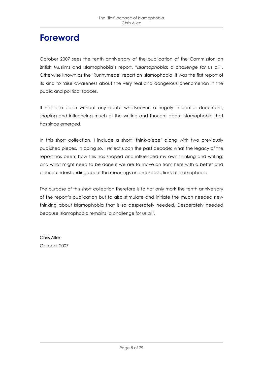#### **Foreword**

October 2007 sees the tenth anniversary of the publication of the Commission on British Muslims and Islamophobia's report, "*Islamophobia: a challenge for us all*". Otherwise known as the 'Runnymede' report on Islamophobia, it was the first report of its kind to raise awareness about the very real and dangerous phenomenon in the public and political spaces.

It has also been without any doubt whatsoever, a hugely influential document, shaping and influencing much of the writing and thought about Islamophobia that has since emerged.

In this short collection, I include a short 'think-piece' along with two previously published pieces. In doing so, I reflect upon the past decade: what the legacy of the report has been; how this has shaped and influenced my own thinking and writing; and what might need to be done if we are to move on from here with a better and clearer understanding about the meanings and manifestations of Islamophobia.

The purpose of this short collection therefore is to not only mark the tenth anniversary of the report's publication but to also stimulate and initiate the much needed new thinking about Islamophobia that is so desperately needed. Desperately needed because Islamophobia remains 'a challenge for us all'.

Chris Allen October 2007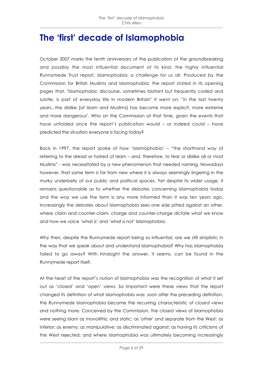#### **The 'first' decade of Islamophobia**

October 2007 marks the tenth anniversary of the publication of the groundbreaking and possibly the most influential document of its kind, the highly influential Runnymede Trust report, *Islamophobia: a challenge for us all.* Produced by the Commission for British Muslims and Islamophobia, the report stated in its opening pages that, "Islamophobic discourse, sometimes blatant but frequently coded and subtle, is part of everyday life in modern Britain" It went on, "in the last twenty years...the dislike [of Islam and Muslims] has become more explicit, more extreme and more dangerous". Who on the Commission at that time, given the events that have unfolded since the report's publication would – or indeed could – have predicted the situation everyone is facing today?

Back in 1997, the report spoke of how 'Islamophobia' – "the shorthand way of referring to the dread or hatred of Islam – and, therefore, to fear or dislike all or most Muslims" - was necessitated by a new phenomenon that needed naming. Nowadays however, that same term is far from new where it is always seemingly lingering in the murky underbelly of our public and political spaces. Yet despite its wider usage, it remains questionable as to whether the debates concerning Islamophobia today and the way we use the term is any more informed than it was ten years ago. Increasingly the debates about Islamophobia sees one side pitted against an other, where claim and counter-claim, charge and counter-charge dictate what we know and how we voice 'what is' and 'what is not' Islamophobia.

Why then, despite the Runnymede report being so influential, are we still simplistic in the way that we speak about and understand Islamophobia? Why has Islamophobia failed to go away? With hindsight the answer, it seems, can be found in the Runnymede report itself.

At the heart of the report's notion of Islamophobia was the recognition of what it set out as 'closed' and 'open' views. So important were these views that the report changed its definition of what Islamophobia was: soon after the preceding definition, the Runnymede Islamophobia became the recurring characteristic of *closed views* and nothing more. Conceived by the Commission, the closed views of Islamophobia were seeing Islam as monolithic and static; as 'other' and separate from the West; as inferior; as enemy; as manipulative; as discriminated against; as having its criticisms of the West rejected; and where Islamophobia was ultimately becoming increasingly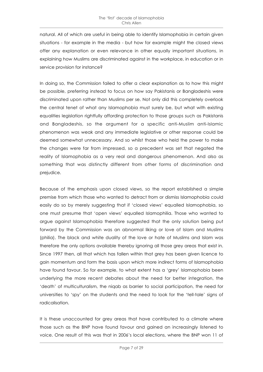natural. All of which are useful in being able to identify Islamophobia in certain given situations - for example in the media - but how for example might the closed views offer any explanation or even relevance in other equally important situations, in explaining how Muslims are discriminated against in the workplace, in education or in service provision for instance?

In doing so, the Commission failed to offer a clear explanation as to how this might be possible, preferring instead to focus on how say Pakistanis or Bangladeshis were discriminated upon rather than Muslims per se. Not only did this completely overlook the central tenet of what any Islamophobia must surely be, but what with existing equalities legislation rightfully affording protection to those groups such as Pakistanis and Bangladeshis, so the argument for a specific anti-Muslim anti-Islamic phenomenon was weak and any immediate legislative or other response could be deemed somewhat unnecessary. And so whilst those who held the power to make the changes were far from impressed, so a precedent was set that negated the reality of Islamophobia as a very real and dangerous phenomenon. And also as something that was distinctly different from other forms of discrimination and prejudice.

Because of the emphasis upon closed views, so the report established a simple premise from which those who wanted to detract from or dismiss Islamophobia could easily do so by merely suggesting that if 'closed views' equalled Islamophobia, so one must presume that 'open views' equalled Islamophilia. Those who wanted to argue against Islamophobia therefore suggested that the only solution being put forward by the Commission was an abnormal liking or love of Islam and Muslims (philia). The black and white duality of the love or hate of Muslims and Islam was therefore the only options available thereby ignoring all those grey areas that exist in. Since 1997 then, all that which has fallen within that grey has been given licence to gain momentum and form the basis upon which more indirect forms of Islamophobia have found favour. So for example, to what extent has a 'grey' Islamophobia been underlying the more recent debates about the need for better integration, the 'death' of multiculturalism, the niqab as barrier to social participation, the need for universities to 'spy' on the students and the need to look for the 'tell-tale' signs of radicalisation.

It is these unaccounted for grey areas that have contributed to a climate where those such as the BNP have found favour and gained an increasingly listened to voice. One result of this was that in 2006's local elections, where the BNP won 11 of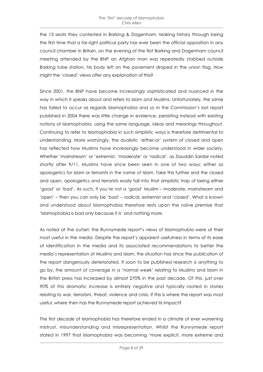the 13 seats they contested in Barking & Dagenham. Making history through being the first time that a far-right political party has ever been the official opposition in any council chamber in Britain, on the evening of the first Barking and Dagenham council meeting attended by the BNP an Afghan man was repeatedly stabbed outside Barking tube station, his body left on the pavement draped in the union flag. How might the 'closed' views offer any explanation of this?

Since 2001, the BNP have become increasingly sophisticated and nuanced in the way in which it speaks about and refers to Islam and Muslims. Unfortunately, the same has failed to occur as regards Islamophobia and so in the Commission's last report published in 2004 there was little change in evidence, persisting instead with existing notions of Islamophobia, using the same language, ideas and meanings throughout. Continuing to refer to Islamophobia in such simplistic ways is therefore detrimental to understanding. More worryingly, the dualistic 'either-or' system of closed and open has reflected how Muslims have increasingly become understood in wider society. Whether 'mainstream' or 'extremist, 'moderate' or 'radical', as Ziauddin Sardar noted shortly after 9/11, Muslims have since been seen in one of two ways: either as apologetics *for* Islam or terrorists *in the name of* Islam. Take this further and the closed and open, apologetics and terrorists easily fall into that simplistic trap of being either 'good' or 'bad'. As such, if you're not a 'good' Muslim – moderate, mainstream and 'open' – then you can only be 'bad' – radical, extremist and 'closed'. What is known and understood about Islamophobia therefore rests upon the naïve premise that 'Islamophobia is bad only because it is' and nothing more.

As noted at the outset, the Runnymede report's views of Islamophobia were at their most useful in the media. Despite the report's apparent usefulness in terms of its ease of identification in the media and its associated recommendations to better the media's representation of Muslims and Islam, the situation has since the publication of the report dangerously deteriorated. If soon to be published research is anything to go by, the amount of coverage in a 'normal week' relating to Muslims and Islam in the British press has increased by almost 270% in the past decade. Of this, just over 90% of this dramatic increase is entirely negative and typically rooted in stories relating to war, terrorism, threat, violence and crisis. If this is where the report was most useful, where then has the Runnymede report achieved its impact?

The first decade of Islamophobia has therefore ended in a climate of ever worsening mistrust, misunderstanding and misrepresentation. Whilst the Runnymede report stated in 1997 that Islamophobia was becoming 'more explicit, more extreme and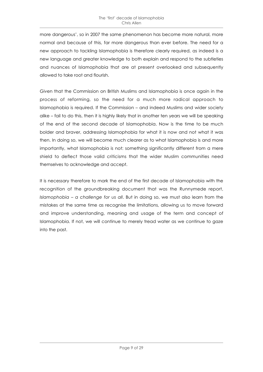more dangerous', so in 2007 the same phenomenon has become more natural, more normal and because of this, far more dangerous than ever before. The need for a new approach to tackling Islamophobia is therefore clearly required, as indeed is a new language and greater knowledge to both explain and respond to the subtleties and nuances of Islamophobia that are at present overlooked and subsequently allowed to take root and flourish.

Given that the Commission on British Muslims and Islamophobia is once again in the process of reforming, so the need for a much more radical approach to Islamophobia is required. If the Commission – and indeed Muslims and wider society alike – fail to do this, then it is highly likely that in another ten years we will be speaking of the end of the second decade of Islamophobia. Now is the time to be much bolder and braver, addressing Islamophobia for what it is now and not what it was then. In doing so, we will become much clearer as to what Islamophobia is and more importantly, what Islamophobia is not: something significantly different from a mere shield to deflect those valid criticisms that the wider Muslim communities need themselves to acknowledge and accept.

It is necessary therefore to mark the end of the first decade of Islamophobia with the recognition of the groundbreaking document that was the Runnymede report, *Islamophobia – a challenge for us all*. But in doing so, we must also learn from the mistakes at the same time as recognise the limitations, allowing us to move forward and improve understanding, meaning and usage of the term and concept of Islamophobia. If not, we will continue to merely tread water as we continue to gaze into the past.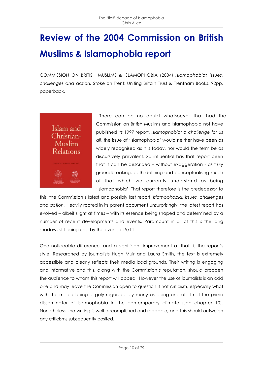## **Review of the 2004 Commission on British Muslims & Islamophobia report**

COMMISSION ON BRITISH MUSLIMS & ISLAMOPHOBIA (2004) *Islamophobia: issues, challenges and action.* Stoke on Trent: Uniting Britain Trust & Trentham Books, 92pp, paperback.



There can be no doubt whatsoever that had the Commission on British Muslims and Islamophobia not have published its 1997 report, *Islamophobia: a challenge for us all,* the issue of 'Islamophobia' would neither have been as widely recognised as it is today, nor would the term be as discursively prevalent. So influential has that report been that it can be described – without exaggeration - as truly groundbreaking, both defining and conceptualising much of that which we currently understand as being 'Islamophobia'. That report therefore is the predecessor to

this, the Commission's latest and possibly last report, *Islamophobia: issues, challenges and action.* Heavily rooted in its parent document unsurprisingly, the latest report has evolved – albeit slight at times – with its essence being shaped and determined by a number of recent developments and events. Paramount in all of this is the long shadows still being cast by the events of 9/11.

One noticeable difference, and a significant improvement at that, is the report's style. Researched by journalists Hugh Muir and Laura Smith, the text is extremely accessible and clearly reflects their media backgrounds. Their writing is engaging and informative and this, along with the Commission's reputation, should broaden the audience to whom this report will appeal. However the use of journalists is an odd one and may leave the Commission open to question if not criticism, especially what with the media being largely regarded by many as being one of, if not the prime disseminator of Islamophobia in the contemporary climate (see chapter 10). Nonetheless, the writing is well accomplished and readable, and this should outweigh any criticisms subsequently posited.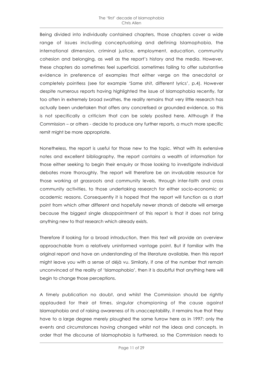Being divided into individually contained chapters, those chapters cover a wide range of issues including conceptualising and defining Islamophobia, the international dimension, criminal justice, employment, education, community cohesion and belonging, as well as the report's history and the media. However, these chapters do sometimes feel superficial, sometimes failing to offer substantive evidence in preference of examples that either verge on the anecdotal or completely pointless (see for example 'Same shit, different lyrics', p.4). However despite numerous reports having highlighted the issue of Islamophobia recently, far too often in extremely broad swathes, the reality remains that very little research has actually been undertaken that offers any concretised or grounded evidence, so this is not specifically a criticism that can be solely posited here. Although if the Commission – or others - decide to produce any further reports, a much more specific remit might be more appropriate.

Nonetheless, the report is useful for those new to the topic. What with its extensive notes and excellent bibliography, the report contains a wealth of information for those either seeking to begin their enquiry or those looking to investigate individual debates more thoroughly. The report will therefore be an invaluable resource for those working at grassroots and community levels, through inter-faith and cross community activities, to those undertaking research for either socio-economic or academic reasons. Consequently it is hoped that the report will function as a start point from which other different and hopefully newer strands of debate will emerge because the biggest single disappointment of this report is that it does not bring anything new to that research which already exists.

Therefore if looking for a broad introduction, then this text will provide an overview approachable from a relatively uninformed vantage point. But if familiar with the original report and have an understanding of the literature available, then this report might leave you with a sense of déjà vu. Similarly, if one of the number that remain unconvinced of the reality of 'Islamophobia', then it is doubtful that anything here will begin to change those perceptions.

A timely publication no doubt, and whilst the Commission should be rightly applauded for their at times, singular championing of the cause against Islamophobia and of raising awareness of its unacceptability, it remains true that they have to a large degree merely ploughed the same furrow here as in 1997: only the events and circumstances having changed whilst not the ideas and concepts. In order that the discourse of Islamophobia is furthered, so the Commission needs to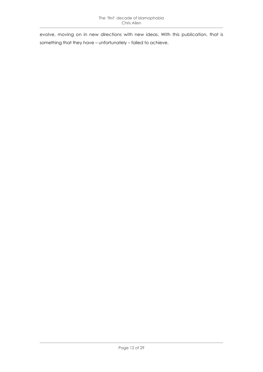evolve, moving on in new directions with new ideas. With this publication, that is something that they have – unfortunately – failed to achieve.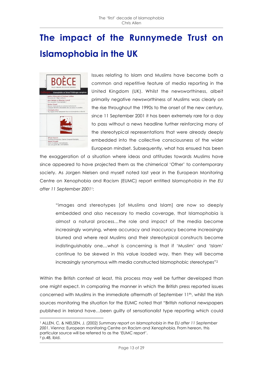## **The impact of the Runnymede Trust on Islamophobia in the UK**



 $\overline{a}$ 

Issues relating to Islam and Muslims have become both a common and repetitive feature of media reporting in the United Kingdom (UK). Whilst the newsworthiness, albeit primarily negative newsworthiness of Muslims was clearly on the rise throughout the 1990s to the onset of the new century, since 11 September 2001 it has been extremely rare for a day to pass without a news headline further reinforcing many of the stereotypical representations that were already deeply embedded into the collective consciousness of the wider European mindset. Subsequently, what has ensued has been

the exaggeration of a situation where ideas and attitudes towards Muslims have since appeared to have projected them as the chimerical 'Other' to contemporary society. As Jorgen Nielsen and myself noted last year in the European Monitoring Centre on Xenophobia and Racism (EUMC) report entitled *Islamophobia in the EU after 11 September 20011*:

"images and stereotypes [of Muslims and Islam] are now so deeply embedded and also necessary to media coverage, that Islamophobia is almost a natural process…the role and impact of the media become increasingly worrying, where accuracy and inaccuracy become increasingly blurred and where real Muslims and their stereotypical constructs become indistinguishably one…what is concerning is that if 'Muslim' and 'Islam' continue to be skewed in this value loaded way, then they will become increasingly synonymous with media constructed Islamophobic stereotypes"2

Within the British context at least, this process may well be further developed than one might expect. In comparing the manner in which the British press reported issues concerned with Muslims in the immediate aftermath of September 11<sup>th</sup>, whilst the Irish sources monitoring the situation for the EUMC noted that "British national newspapers published in Ireland have…been guilty of sensationalist type reporting which could

<sup>1</sup> ALLEN, C. & NIELSEN, J. (2002) *Summary report on Islamophobia in the EU after 11 September 2001*. Vienna: European monitoring Centre on Racism and Xenophobia. From hereon, this particular source will be referred to as the 'EUMC report'.  $2$  p.48, ibid.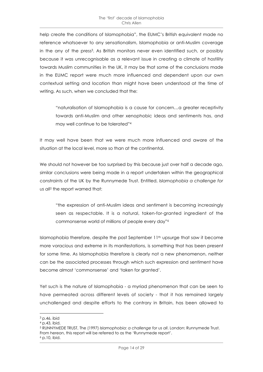help create the conditions of Islamophobia", the EUMC's British equivalent made no reference whatsoever to any sensationalism, Islamophobia or anti-Muslim coverage in the any of the press3. As British monitors never even identified such, or possibly because it was unrecognisable as a relevant issue in creating a climate of hostility towards Muslim communities in the UK, it may be that some of the conclusions made in the EUMC report were much more influenced and dependent upon our own contextual setting and location than might have been understood at the time of writing. As such, when we concluded that the:

"naturalisation of Islamophobia is a cause for concern…a greater receptivity towards anti-Muslim and other xenophobic ideas and sentiments has, and may well continue to be tolerated"4

It may well have been that we were much more influenced and aware of the situation at the local level, more so than at the continental.

We should not however be too surprised by this because just over half a decade ago, similar conclusions were being made in a report undertaken within the geographical constraints of the UK by the Runnymede Trust. Entitled, *Islamophobia a challenge for us all5* the report warned that:

"the expression of anti-Muslim ideas and sentiment is becoming increasingly seen as respectable. It is a natural, taken-for-granted ingredient of the commonsense world of millions of people every day"6

Islamophobia therefore, despite the post September 11th upsurge that saw it become more voracious and extreme in its manifestations, is something that has been present for some time. As Islamophobia therefore is clearly not a new phenomenon, neither can be the associated processes through which such expression and sentiment have become almost 'commonsense' and 'taken for granted'.

Yet such is the nature of Islamophobia - a myriad phenomenon that can be seen to have permeated across different levels of society - that it has remained largely unchallenged and despite efforts to the contrary in Britain, has been allowed to

 $\overline{a}$ 

<sup>3</sup> p.46, ibid

<sup>4</sup> p.43, ibid.

<sup>5</sup> RUNNYMEDE TRUST, The (1997) *Islamophobia: a challenge for us all*. London: Runnymede Trust. From hereon, this report will be referred to as the 'Runnymede report'.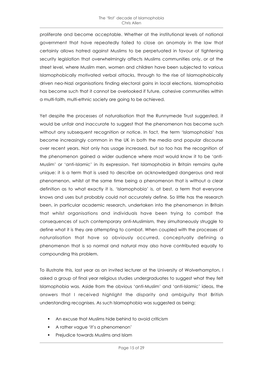proliferate and become acceptable. Whether at the institutional levels of national government that have repeatedly failed to close an anomaly in the law that certainly allows hatred against Muslims to be perpetuated in favour of tightening security legislation that overwhelmingly affects Muslims communities only, or at the street level, where Muslim men, women and children have been subjected to various Islamophobically motivated verbal attacks, through to the rise of Islamophobically driven neo-Nazi organisations finding electoral gains in local elections, Islamophobia has become such that it cannot be overlooked if future, cohesive communities within a multi-faith, multi-ethnic society are going to be achieved.

Yet despite the processes of naturalisation that the Runnymede Trust suggested, it would be unfair and inaccurate to suggest that the phenomenon has become such without any subsequent recognition or notice. In fact, the term 'Islamophobia' has become increasingly common in the UK in both the media and popular discourse over recent years. Not only has usage increased, but so too has the recognition of the phenomenon gained a wider audience where most would know it to be 'anti-Muslim' or 'anti-Islamic' in its expression. Yet Islamophobia in Britain remains quite unique: it is a term that is used to describe an acknowledged dangerous and real phenomenon, whilst at the same time being a phenomenon that is without a clear definition as to what exactly it is. 'Islamophobia' is, at best, a term that everyone knows and uses but probably could not accurately define. So little has the research been, in particular academic research, undertaken into the phenomenon in Britain that whilst organisations and individuals have been trying to combat the consequences of such contemporary anti-Muslimism, they simultaneously struggle to define what it is they are attempting to combat. When coupled with the processes of naturalisation that have so obviously occurred, conceptually defining a phenomenon that is so normal and natural may also have contributed equally to compounding this problem.

To illustrate this, last year as an invited lecturer at the University of Wolverhampton, I asked a group of final year religious studies undergraduates to suggest what they felt Islamophobia was. Aside from the obvious 'anti-Muslim' and 'anti-Islamic' ideas, the answers that I received highlight the disparity and ambiguity that British understanding recognises. As such Islamophobia was suggested as being:

- An excuse that Muslims hide behind to avoid criticism
- A rather vague 'it's a phenomenon'
- **•** Prejudice towards Muslims and Islam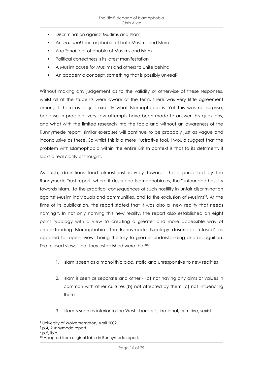- **•** Discrimination against Muslims and Islam
- An *irrational* fear, or phobia of both Muslims and Islam
- A *rational* fear of phobia of Muslims and Islam
- Political correctness is its latest manifestation
- A Muslim cause for Muslims and others to unite behind
- An academic concept, something that is possibly un-real7

Without making any judgement as to the validity or otherwise of these responses, whilst all of the students were aware of the term, there was very little agreement amongst them as to just exactly what Islamophobia is. Yet this was no surprise, because in practice, very few attempts have been made to answer this questions, and what with the limited research into the topic and without an awareness of the Runnymede report, similar exercises will continue to be probably just as vague and inconclusive as these. So whilst this is a mere illustrative tool, I would suggest that the problem with Islamophobia within the entire British context is that to its detriment, it lacks a real clarity of thought.

As such, definitions tend almost instinctively towards those purported by the Runnymede Trust report, where it described Islamophobia as, the "unfounded hostility towards Islam...to the practical consequences of such hostility in unfair discrimination against Muslim individuals and communities, and to the exclusion of Muslims"8. At the time of its publication, the report stated that it was also a "new reality that needs naming"9. In not only naming this new reality, the report also established an eight point typology with a view to creating a greater and more accessible way of understanding Islamophobia. The Runnymede typology described 'closed' as opposed to 'open' views being the key to greater understanding and recognition. The 'closed views' that they established were that<sup>10</sup>:

- 1. Islam is seen as a monolithic bloc, static and unresponsive to new realities
- 2. Islam is seen as separate and other (a) not having any aims or values in common with other cultures (b) not affected by them (c) not influencing them
- 3. Islam is seen as inferior to the West barbaric, irrational, primitive, sexist

 $\overline{a}$ 

<sup>7</sup> University of Wolverhampton, April 2002

<sup>8</sup> p.4, Runnymede report.

 $9$  p.5, ibid.

<sup>10</sup> Adapted from original table in Runnymede report.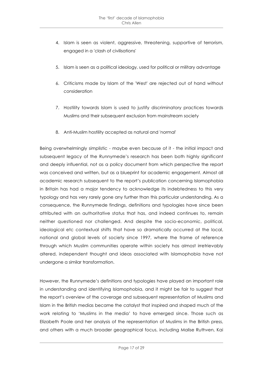- 4. Islam is seen as violent, aggressive, threatening, supportive of terrorism, engaged in a 'clash of civilisations'
- 5. Islam is seen as a political ideology, used for political or military advantage
- 6. Criticisms made by Islam of the 'West' are rejected out of hand without consideration
- 7. Hostility towards Islam is used to justify discriminatory practices towards Muslims and their subsequent exclusion from mainstream society
- 8. Anti-Muslim hostility accepted as natural and 'normal'

Being overwhelmingly simplistic - maybe even because of it - the initial impact and subsequent legacy of the Runnymede's research has been both highly significant and deeply influential, not as a policy document from which perspective the report was conceived and written, but as a blueprint for academic engagement. Almost all academic research subsequent to the report's publication concerning Islamophobia in Britain has had a major tendency to acknowledge its indebtedness to this very typology and has very rarely gone any further than this particular understanding. As a consequence, the Runnymede findings, definitions and typologies have since been attributed with an authoritative status that has, and indeed continues to, remain neither questioned nor challenged. And despite the socio-economic, political, ideological etc contextual shifts that have so dramatically occurred at the local, national and global levels of society since 1997, where the frame of reference through which Muslim communities operate within society has almost irretrievably altered, independent thought and ideas associated with Islamophobia have not undergone a similar transformation.

However, the Runnymede's definitions and typologies have played an important role in understanding and identifying Islamophobia, and it might be fair to suggest that the report's overview of the coverage and subsequent representation of Muslims and Islam in the British medias became the catalyst that inspired and shaped much of the work relating to 'Muslims in the media' to have emerged since. Those such as Elizabeth Poole and her analysis of the representation of Muslims in the British press, and others with a much broader geographical focus, including Malise Ruthven, Kai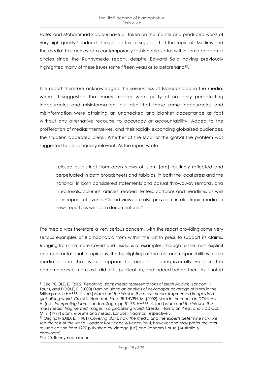Hafez and Mohammad Siddiqui have all taken on this mantle and produced works of very high quality<sup>11</sup>. Indeed, it might be fair to suggest that the topic of 'Muslims and the media' has achieved a contemporarily fashionable status within some academic circles since the Runnymede report, despite Edward Said having previously highlighted many of these issues some fifteen years or so beforehand12.

The report therefore acknowledged the seriousness of Islamophobia in the media, where it suggested that many medias were guilty of not only perpetrating inaccuracies and misinformation, but also that these same inaccuracies and misinformation were attaining an unchecked and blanket acceptance as fact without any alternative recourse to accuracy or accountability. Added to the proliferation of medias themselves, and their rapidly expanding globalised audiences, the situation appeared bleak. Whether at the local or the global the problem was suggested to be as equally relevant. As the report wrote:

"closed as distinct from open views of Islam [are] routinely reflected and perpetuated in both broadsheets and tabloids, in both the local press and the national, in both considered statements and casual throwaway remarks, and in editorials, columns, articles, readers' letters, cartoons and headlines as well as in reports of events. Closed views are also prevalent in electronic media, in news reports as well as in documentaries"13

The media was therefore a very serious concern, with the report providing some very serious examples of Islamophobia from within the British press to support its claims. Ranging from the more covert and insidious of examples, through to the most explicit and confrontational of opinions, the highlighting of the role and responsibilities of the media is one that would appear to remain as unequivocally valid in the contemporary climate as it did at its publication, and indeed before then. As it noted

 $\overline{a}$ 11 See POOLE, E. (2002) *Reporting Islam: media representations of British Muslims*. London: IB Tauris, and POOLE, E. (2000) Framing Islam: an analysis of newspaper coverage of Islam in the British press *in* HAFEZ, K. (ed.) *Islam and the West in the mass media: fragmented images in a globalizing world.* Cresskill: Hampton Press; RUTHVEN, M. (2002) Islam in the media *in* DONNAN, H. (ed.) *Interpreting Islam*. London: Sage, pp.51-75; HAFEZ, K. (ed.) *Islam and the West in the mass media: fragmented images in a globalizing world.* Cresskill: Hampton Press; and SIDDIQUI, M. S. (1997) *Islam, Muslims and media*. London: Naamps, respectively.

<sup>12</sup> Originally SAID, E. (1981) *Covering Islam: how the media and the experts determine how we see the rest of the world*. London: Routledge & Kegan Paul, however one may prefer the later revised edition from 1997 published by Vintage (UK) and Random House (Australia & elsewhere).

<sup>&</sup>lt;sup>13</sup> p.20, Runnymede report.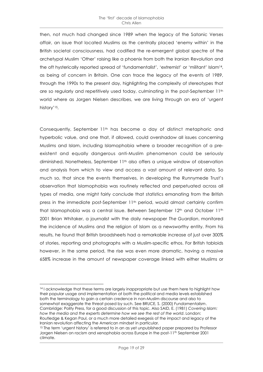then, not much had changed since 1989 when the legacy of the Satanic Verses affair, an issue that located Muslims as the centrally placed 'enemy within' in the British societal consciousness, had codified the re-emergent global spectre of the archetypal Muslim 'Other' raising like a phoenix from both the Iranian Revolution and the oft hysterically reported spread of 'fundamentalist', 'extremist' or 'militant' Islam14, as being of concern in Britain. One can trace the legacy of the events of 1989, through the 1990s to the present day, highlighting the complexity of stereotypes that are so regularly and repetitively used today, culminating in the post-September 11th world where as Jorgen Nielsen describes, we are living through an era of 'urgent history'15.

Consequently, September 11th has become a day of distinct metaphoric and hyperbolic value, and one that, if allowed, could overshadow all issues concerning Muslims and Islam, including Islamophobia where a broader recognition of a preexistent and equally dangerous anti-Muslim phenomenon could be seriously diminished. Nonetheless, September 11<sup>th</sup> also offers a unique window of observation and analysis from which to view and access a vast amount of relevant data. So much so, that since the events themselves, in developing the Runnymede Trust's observation that Islamophobia was routinely reflected and perpetuated across all types of media, one might fairly conclude that statistics emanating from the British press in the immediate post-September 11<sup>th</sup> period, would almost certainly confirm that Islamophobia was a central issue. Between September 12th and October 11th 2001 Brian Whitaker, a journalist with the daily newspaper *The Guardian*, monitored the incidence of Muslims and the religion of Islam as a newsworthy entity. From his results, he found that British broadsheets had a remarkable increase of just over 300% of stories, reporting and photographs with a Muslim-specific ethos. For British tabloids however, in the same period, the rise was even more dramatic, having a massive 658% increase in the amount of newspaper coverage linked with either Muslims or

 $\overline{a}$ <sup>14</sup> I acknowledge that these terms are largely inappropriate but use them here to highlight how their popular usage and implementation at both the political and media levels established both the terminology to gain a certain credence in non-Muslim discourse and also to somewhat exaggerate the threat posed by such. See BRUCE, S. (2000) *Fundamentalism*. Cambridge: Polity Press, for a good discussion of this topic. Also SAID, E. (1981) *Covering Islam:* how the media and the experts determine how we see the rest of the world. London: Routledge & Kegan Paul, or a much more detailed exegesis of the impact and legacy of the Iranian revolution affecting the American mindset in particular.

<sup>&</sup>lt;sup>15</sup> The term 'urgent history' is referred to in an as yet unpublished paper prepared by Professor Jorgen Nielsen on racism and xenophobia across Europe in the post-11<sup>th</sup> September 2001 climate.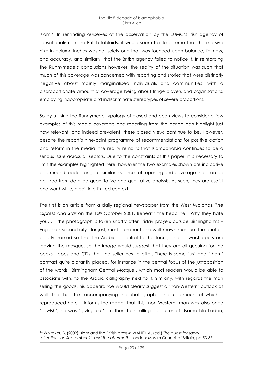Islam<sup>16</sup>. In reminding ourselves of the observation by the EUMC's Irish agency of sensationalism in the British tabloids, it would seem fair to assume that this massive hike in column inches was not solely one that was founded upon balance, fairness, and accuracy, and similarly, that the British agency failed to notice it. In reinforcing the Runnymede's conclusions however, the reality of the situation was such that much of this coverage was concerned with reporting and stories that were distinctly negative about mainly marginalised individuals and communities, with a disproportionate amount of coverage being about fringe players and organisations, employing inappropriate and indiscriminate stereotypes of severe proportions.

So by utilising the Runnymede typology of closed and open views to consider a few examples of this media coverage and reporting from the period can highlight just how relevant, and indeed prevalent, these closed views continue to be. However, despite the report's nine-point programme of recommendations for positive action and reform in the media, the reality remains that Islamophobia continues to be a serious issue across all sectors. Due to the constraints of this paper, it is necessary to limit the examples highlighted here, however the two examples shown are indicative of a much broader range of similar instances of reporting and coverage that can be gauged from detailed quantitative and qualitative analysis. As such, they are useful and worthwhile, albeit in a limited context.

The first is an article from a daily regional newspaper from the West Midlands, *The Express and Star* on the 13<sup>th</sup> October 2001. Beneath the headline, "Why they hate you…", the photograph is taken shortly after Friday prayers outside Birmingham's – England's second city - largest, most prominent and well known mosque. The photo is clearly framed so that the Arabic is central to the focus, and as worshippers are leaving the mosque, so the image would suggest that they are all queuing for the books, tapes and CDs that the seller has to offer. There is some 'us' and 'them' contrast quite blatantly placed, for instance in the central focus of the juxtaposition of the words "Birmingham Central Mosque', which most readers would be able to associate with, to the Arabic calligraphy next to it. Similarly, with regards the man selling the goods, his appearance would clearly suggest a 'non-Western' outlook as well. The short text accompanying the photograph – the full amount of which is reproduced here – informs the reader that this 'non-Western' man was also once 'Jewish'; he was 'giving out' - rather than selling - pictures of Usama bin Laden,

 $\overline{a}$ 16 Whitaker, B. (2002) Islam and the British press *in* WAHID, A. (ed.) *The quest for sanity: reflections on September 11 and the aftermath*. London: Muslim Council of Britain, pp.53-57.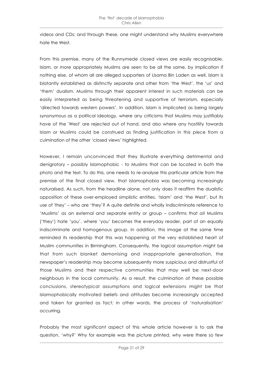videos and CDs; and through these, one might understand why Muslims everywhere hate the West.

From this premise, many of the Runnymede closed views are easily recognisable. Islam, or more appropriately Muslims are seen to be all the same, by implication if nothing else, of whom all are alleged supporters of Usama Bin Laden as well. Islam is blatantly established as distinctly separate and other from 'the West', the 'us' and 'them' dualism. Muslims through their apparent interest in such materials can be easily interpreted as being threatening and supportive of terrorism, especially 'directed towards western powers'. In addition, Islam is implicated as being largely synonymous as a political ideology, where any criticisms that Muslims may justifiably have of the 'West' are rejected out of hand, and also where any hostility towards Islam or Muslims could be construed as finding justification in this piece from a culmination of the other 'closed views' highlighted.

However, I remain unconvinced that they illustrate everything detrimental and denigratory – possibly Islamophobic - to Muslims that can be located in both the photo and the text. To do this, one needs to re-analyse this particular article from the premise of the final closed view, that Islamophobia was becoming increasingly naturalised. As such, from the headline alone, not only does it reaffirm the dualistic opposition of these over-employed simplistic entities, 'Islam' and 'the West', but its use of 'they' – who are 'they'? A quite definite and wholly indiscriminate reference to 'Muslims' as an external and separate entity or group – confirms that *all* Muslims ('they') hate 'you', where 'you' becomes the everyday reader, part of an equally indiscriminate and homogenous group. In addition, this image at the same time reminded its readership that this was happening at the very established heart of Muslim communities in Birmingham. Consequently, the logical assumption might be that from such blanket demonising and inappropriate generalisation, the newspaper's readership may become subsequently more suspicious and distrustful of those Muslims and their respective communities that may well be next-door neighbours in the local community. As a result, the culmination of these possible conclusions, stereotypical assumptions and logical extensions might be that Islamophobically motivated beliefs and attitudes become increasingly accepted and taken for granted as fact; in other words, the process of 'naturalisation' occurring.

Probably the most significant aspect of this whole article however is to ask the question, 'why?' Why for example was the picture printed, why were there so few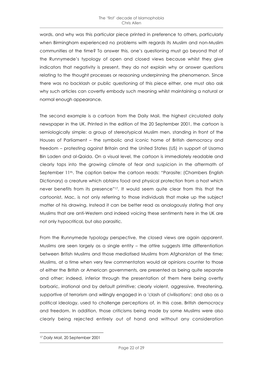words, and why was this particular piece printed in preference to others, particularly when Birmingham experienced no problems with regards its Muslim and non-Muslim communities at the time? To answer this, one's questioning must go beyond that of the Runnymede's typology of open and closed views because whilst they give indicators that negativity is present, they do not explain why or answer questions relating to the thought processes or reasoning underpinning the phenomenon. Since there was no backlash or public questioning of this piece either, one must also ask why such articles can covertly embody such meaning whilst maintaining a natural or normal enough appearance.

The second example is a cartoon from the Daily Mail, the highest circulated daily newspaper in the UK. Printed in the edition of the 20 September 2001, the cartoon is semiologically simple: a group of stereotypical Muslim men, standing in front of the Houses of Parliament – the symbolic and iconic home of British democracy and freedom – protesting against Britain and the United States (US) in support of Usama Bin Laden and al-Qaida. On a visual level, the cartoon is immediately readable and clearly taps into the growing climate of fear and suspicion in the aftermath of September 11<sup>th</sup>. The caption below the cartoon reads: "Parasite: (Chambers English Dictionary) a creature which obtains food and physical protection from a host which never benefits from its presence"17. It would seem quite clear from this that the cartoonist, Mac, is not only referring to those individuals that make up the subject matter of his drawing. Instead it can be better read as analogously stating that any Muslims that are anti-Western and indeed voicing these sentiments here in the UK are not only hypocritical, but also parasitic.

From the Runnymede typology perspective, the closed views are again apparent. Muslims are seen largely as a single entity – the attire suggests little differentiation between British Muslims and those mediatised Muslims from Afghanistan at the time; Muslims, at a time when very few commentators would air opinions counter to those of either the British or American governments, are presented as being quite separate and other; indeed, inferior through the presentation of them here being overtly barbaric, irrational and by default primitive; clearly violent, aggressive, threatening, supportive of terrorism and willingly engaged in a 'clash of civilisations'; and also as a political ideology, used to challenge perceptions of, in this case, British democracy and freedom. In addition, those criticisms being made by some Muslims were also clearly being rejected entirely out of hand and without any consideration

 $\overline{a}$ <sup>17</sup> *Daily Mail*, 20 September 2001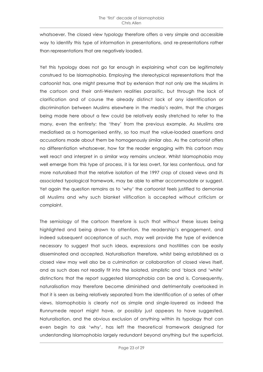whatsoever. The closed view typology therefore offers a very simple and accessible way to identify this type of information in presentations, and re-presentations rather than representations that are negatively loaded.

Yet this typology does not go far enough in explaining what can be legitimately construed to be Islamophobia. Employing the stereotypical representations that the cartoonist has, one might presume that by extension that not only are the Muslims in the cartoon and their anti-Western realities parasitic, but through the lack of clarification and of course the already distinct lack of any identification or discrimination between Muslims elsewhere in the media's realm, that the charges being made here about a few could be relatively easily stretched to refer to the many, even the entirety: the 'they' from the previous example. As Muslims are mediatised as a homogenised entity, so too must the value-loaded assertions and accusations made about them be homogenously similar also. As the cartoonist offers no differentiation whatsoever, how far the reader engaging with this cartoon may well react and interpret in a similar way remains unclear. Whilst Islamophobia may well emerge from this type of process, it is far less overt, far less contentious, and far more naturalised that the relative isolation of the 1997 crop of closed views and its associated typological framework, may be able to either accommodate or suggest. Yet again the question remains as to 'why' the cartoonist feels justified to demonise all Muslims and why such blanket vilification is accepted without criticism or complaint.

The semiology of the cartoon therefore is such that without these issues being highlighted and being drawn to attention, the readership's engagement, and indeed subsequent acceptance of such, may well provide the type of evidence necessary to suggest that such ideas, expressions and hostilities can be easily disseminated and accepted. Naturalisation therefore, whilst being established as a closed view may well also be a culmination or collaboration of closed views itself, and as such does not readily fit into the isolated, simplistic and 'black and 'white' distinctions that the report suggested Islamophobia can be and is. Consequently, naturalisation may therefore become diminished and detrimentally overlooked in that it is seen as being relatively separated from the identification of a series of other views. Islamophobia is clearly not as simple and single-layered as indeed the Runnymede report might have, or possibly just appears to have suggested. Naturalisation, and the obvious exclusion of anything within its typology that can even begin to ask 'why', has left the theoretical framework designed for understanding Islamophobia largely redundant beyond anything but the superficial.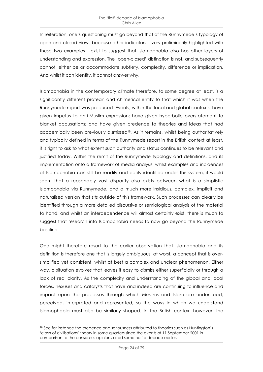In reiteration, one's questioning must go beyond that of the Runnymede's typology of open and closed views because other indicators – very preliminarily highlighted with these two examples - exist to suggest that Islamophobia also has other layers of understanding and expression. The 'open-closed' distinction is not, and subsequently cannot, either be or accommodate subtlety, complexity, difference or implication. And whilst it can identify, it cannot answer why.

Islamophobia in the contemporary climate therefore, to some degree at least, is a significantly different protean and chimerical entity to that which it was when the Runnymede report was produced. Events, within the local and global contexts, have given impetus to anti-Muslim expression; have given hyperbolic overstatement to blanket accusations; and have given credence to theories and ideas that had academically been previously dismissed<sup>18</sup>. As it remains, whilst being authoritatively and typically defined in terms of the Runnymede report in the British context at least, it is right to ask to what extent such authority and status continues to be relevant and justified today. Within the remit of the Runnymede typology and definitions, and its implementation onto a framework of media analysis, whilst examples and incidences of Islamophobia can still be readily and easily identified under this system, it would seem that a reasonably vast disparity also exists between what is a simplistic Islamophobia via Runnymede, and a much more insidious, complex, implicit and naturalised version that sits outside of this framework. Such processes can clearly be identified through a more detailed discursive or semiological analysis of the material to hand, and whilst an interdependence will almost certainly exist, there is much to suggest that research into Islamophobia needs to now go beyond the Runnymede baseline.

One might therefore resort to the earlier observation that Islamophobia and its definition is therefore one that is largely ambiguous: at worst, a concept that is oversimplified yet consistent, whilst at best a complex and unclear phenomenon. Either way, a situation evolves that leaves it easy to dismiss either superficially or through a lack of real clarity. As the complexity and understanding of the global and local forces, nexuses and catalysts that have and indeed are continuing to influence and impact upon the processes through which Muslims and Islam are understood, perceived, interpreted and represented, so the ways in which we understand Islamophobia must also be similarly shaped. In the British context however, the

 $\overline{a}$ 18 See for instance the credence and seriousness attributed to theories such as Huntington's 'clash of civilisations' theory in some quarters since the events of 11 September 2001 in comparison to the consensus opinions aired some half a decade earlier.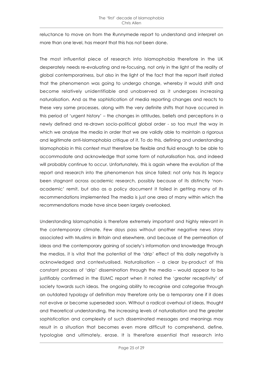reluctance to move on from the Runnymede report to understand and interpret on more than one level, has meant that this has not been done.

The most influential piece of research into Islamophobia therefore in the UK desperately needs re-evaluating and re-focusing, not only in the light of the reality of global contemporariness, but also in the light of the fact that the report itself stated that the phenomenon was going to undergo change, whereby it would shift and become relatively unidentifiable and unobserved as it undergoes increasing naturalisation. And as the sophistication of media reporting changes and reacts to these very same processes, along with the very definite shifts that have occurred in this period of 'urgent history' – the changes in attitudes, beliefs and perceptions in a newly defined and re-drawn socio-political global order - so too must the way in which we analyse the media in order that we are validly able to maintain a rigorous and legitimate anti-Islamophobia critique of it. To do this, defining and understanding Islamophobia in this context must therefore be flexible and fluid enough to be able to accommodate and acknowledge that some form of naturalisation has, and indeed will probably continue to occur. Unfortunately, this is again where the evolution of the report and research into the phenomenon has since failed: not only has its legacy been stagnant across academic research, possibly because of its distinctly 'nonacademic' remit, but also as a policy document it failed in getting many of its recommendations implemented The media is just one area of many within which the recommendations made have since been largely overlooked.

Understanding Islamophobia is therefore extremely important and highly relevant in the contemporary climate. Few days pass without another negative news story associated with Muslims in Britain and elsewhere, and because of the permeation of ideas and the contemporary gaining of society's information and knowledge through the medias, it is vital that the potential of the 'drip' effect of this daily negativity is acknowledged and contextualised. Naturalisation – a clear by-product of this constant process of 'drip' dissemination through the media – would appear to be justifiably confirmed in the EUMC report when it noted the 'greater receptivity' of society towards such ideas. The ongoing ability to recognise and categorise through an outdated typology of definition may therefore only be a temporary one if it does not evolve or become superseded soon. Without a radical overhaul of ideas, thought and theoretical understanding, the increasing levels of naturalisation and the greater sophistication and complexity of such disseminated messages and meanings may result in a situation that becomes even more difficult to comprehend, define, typologise and ultimately, erase. It is therefore essential that research into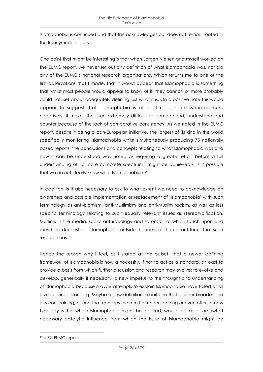Islamophobia is continued and that this acknowledges but does not remain rooted in the Runnymede legacy.

One point that might be interesting is that when Jorgen Nielsen and myself worked on the EUMC report, we never set out any definition of what Islamophobia was, nor did any of the EUMC's national research organisations. Which returns me to one of the first observations that I made, that it would appear that Islamophobia is something that whilst most people would appear to know of it, they cannot, or more probably could not, set about adequately defining just what it is. On a positive note this would appear to suggest that Islamophobia is at least recognised, whereas more negatively, it makes the issue extremely difficult to comprehend, understand and counter because of the lack of comparative consistency. As we noted in the EUMC report, despite it being a pan-European initiative, the largest of its kind in the world specifically monitoring Islamophobia whilst simultaneously producing 75 nationally based reports, the conclusions and concepts relating to what Islamophobia was and how it can be understood was noted as requiring a greater effort before a full understanding of "a more complete spectrum" might be achieved<sup>19</sup>. Is it possible that we do not clearly know what Islamophobia is?

In addition, is it also necessary to ask to what extent we need to acknowledge an awareness and possible implementation or replacement of 'Islamophobia' with such terminology as anti-Islamism, anti-Muslimism and anti-Muslim racism, as well as less specific terminology relating to such equally relevant issues as stereotypification, Muslims in the media, social anthropology and so on: all of which touch upon and may help deconstruct Islamophobia outside the remit of the current focus that such research has.

Hence the reason why I feel, as I stated at the outset, that a newer defining framework of Islamophobia is now a necessity. If not to act as a standard, at least to provide a basis from which further discussion and research may evolve: to evolve and develop, generically if necessary, a new impetus to the thought and understanding of Islamophobia because maybe attempts to explain Islamophobia have failed at all levels of understanding. Maybe a new definition, albeit one that is either broader and less constraining, or one that confines the remit of understanding or even offers a new typology within which Islamophobia might be located, would act as a somewhat necessary catalytic influence from which the issue of Islamophobia might be

 $\overline{a}$ 

<sup>19</sup> p.32, EUMC report.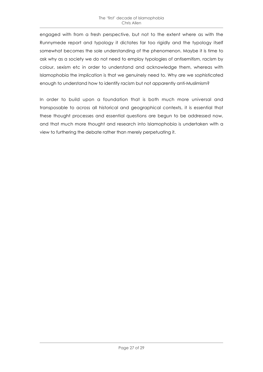engaged with from a fresh perspective, but not to the extent where as with the Runnymede report and typology it dictates far too rigidly and the typology itself somewhat becomes the sole understanding of the phenomenon. Maybe it is time to ask why as a society we do not need to employ typologies of antisemitism, racism by colour, sexism etc in order to understand and acknowledge them, whereas with Islamophobia the implication is that we genuinely need to. Why are we sophisticated enough to understand how to identify racism but not apparently anti-Muslimism?

In order to build upon a foundation that is both much more universal and transposable to across all historical and geographical contexts, it is essential that these thought processes and essential questions are begun to be addressed now, and that much more thought and research into Islamophobia is undertaken with a view to furthering the debate rather than merely perpetuating it.